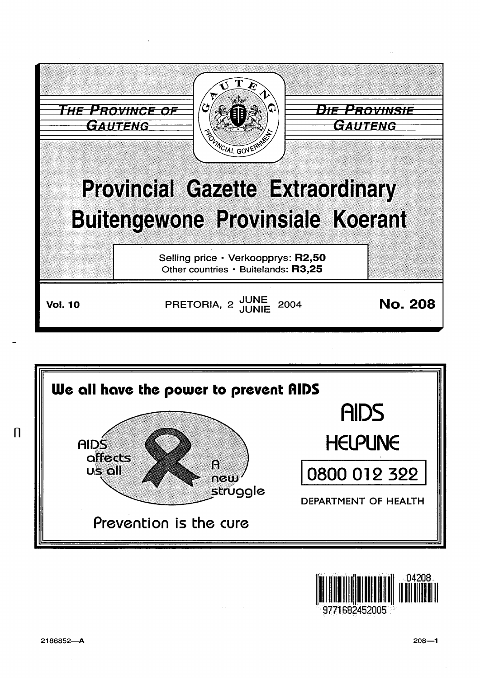





9771682452005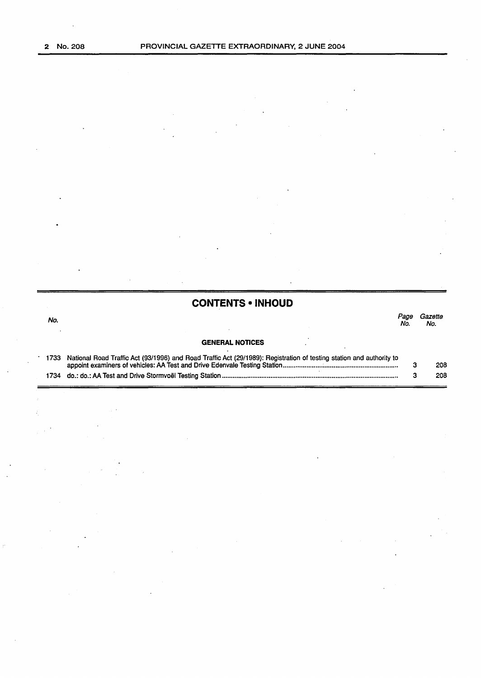# **CONTENTS • INHOUD**

No. *Page Gazette* 

Page Gazette.<br>No. No.

### **GENERAL NOTICES**

| 1733 National Road Traffic Act (93/1996) and Road Traffic Act (29/1989): Registration of testing station and authority to |     |
|---------------------------------------------------------------------------------------------------------------------------|-----|
|                                                                                                                           | 208 |
|                                                                                                                           | 208 |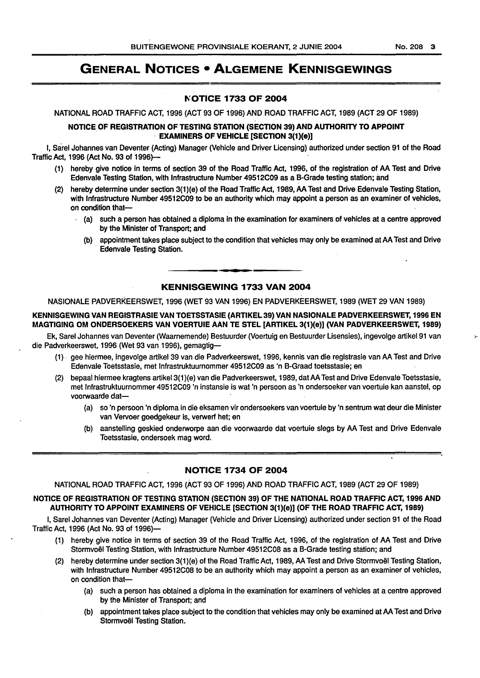# GENERAL NOTICES • ALGEMENE KENNISGEWINGS

#### 1\'.0TICE 1733 OF 2004

NATIONAL ROAD TRAFFIC ACT, 1996 (ACT 93 OF 1996) AND ROAD TRAFFIC ACT, 1989 (ACT 29 OF 1989)

#### NOTICE OF REGISTRATION OF TESTING STATION (SECTION 39} AND AUTHORITY TO APPOINT · EXAMINERS OF VEHICLE [SECTION 3(1}(e}]

I, Sarel Johannes van Deventer (Acting) Manager (Vehicle and Driver Licensing) authorized under section 91 of the Road Traffic Act, 1996 (Act No. 93 of 1996)-

- (1) hereby give notice in terms of section 39 of the Road Traffic Act, 1996, of the registration of AA Test and Drive Edenvale Testing Station, with Infrastructure Number 49512C09 as a B-Grade testing station; and
- (2) hereby determine under section 3(1)(e) of the Road Traffic Act, 1989, AA Test and Drive Edenvale Testing Station, with Infrastructure Number 49512C09 to be an authority which may appoint a person as an examiner of vehicles, on condition that-
	- ( a) such a person has obtained a diploma in the examination for examiners of vehicles at a centre approved by the Minister of Transport; and
	- (b) appointment takes place subject to the condition that vehicles may only be examined at AA Test and Drive Edenvale Testing Station.

#### KENNISGEWING 1733 VAN 2004

NASIONALE PADVERKEERSWET, 1996 (WET 93 VAN 1996) EN PADVERKEERSWET, 1989 (WET 29 VAN 1989)

#### KENNISGEWING VAN REGISTRASIE VAN TOETSSTASIE (ARTIKEL 39} VAN NASIONALE PADVERKEERSWET, 1996 EN MAGTIGING OM ONDERSOEKERS VAN VOERTUIE AAN TE STEL [ARTIKEL 3(1}(e}] (VAN PADVERKEERSWET, 1989}

Ek, Sarel Johannes van Deventer (Waarnemende) 8estuurder (Voertuig en Bestuurder Lisensies), ingevolge artikel91 van *r*die Padverkeerswet, 1996 (Wet 93 van 1996), gemagtig-

- (1) . gee hiermee, ingevolge artikel 39 van die Padverkeerswet, 1996, kennis van die registrasie van AA Test and Drive Edenvale Toetsstasie, met lnfrastruktuurnommer 49512C09 as 'n 8-Graad toetsstasie; en
- (2) bepaai hiermee kragtens artikel3(1 )(e) van die Padverkeerswet, 1989, dat AA Test and Drive Edenvale Toetsstasie, met lnfrastruktuurnommer 49512C09 'n instansie is wat 'n persoon as 'n ondersoeker van voertuie kan aanstel, op voorwaarde dat-
	- (a) so 'n persoon 'n diploma in die eksamen vir ondersoekers van voertuie by 'n sentrum wat deur die Minister van Vervoer goedgekeur is, verwerf het; en
	- (b) aanstelling geskied onderworpe aan die voorwaarde dat voertuie slegs by AA Test and Drive Edenvale Toetsstasie, ondersoek mag word.

# NOTICE 1734 OF 2004

NATIONAL ROAD TRAFFIC ACT, 1996 (ACT 93 OF 1996) AND ROAD TRAFFIC ACT, 1989 (ACT 29 OF 1989)

#### NOTICE OF REGISTRATION OF TESTING STATION (SECTION 39} OF THE NATIONAL ROAD TRAFFIC ACT, 1996 AND AUTHORITY TO APPOINT EXAMINERS OF VEHICLE [SECTION 3(1}(e}] (OF THE ROAD TRAFFIC ACT, 1989}

I, Sarel Johannes van Deventer (Acting) Manager (Vehicle and Driver Licensing) authorized under section 91 of the Road Traffic Act, 1996 (Act No. 93 of 1996)-

- (1) hereby give notice in terms of section 39 of the Road Traffic Act, 1996, of the registration of AA Test and Drive Stormvoel Testing Station, with Infrastructure Number 49512C08 as a 8-Grade testing station; and
- (2) hereby determine under section 3(1 )(e) of the Road Traffic Act, 1989, AA Test and Drive Stormvoel Testing Station, with Infrastructure Number 49512C08 to be an authority which may appoint a person as an examiner of vehicles, on condition that-
	- ( a) such a person has obtained a diploma in the examination for examiners of vehicles at a centre approved by the Minister of Transport; and
	- (b) appointment takes place subject to the condition that vehicles may only be examined at AA Test and Drive Stormvoël Testing Station.